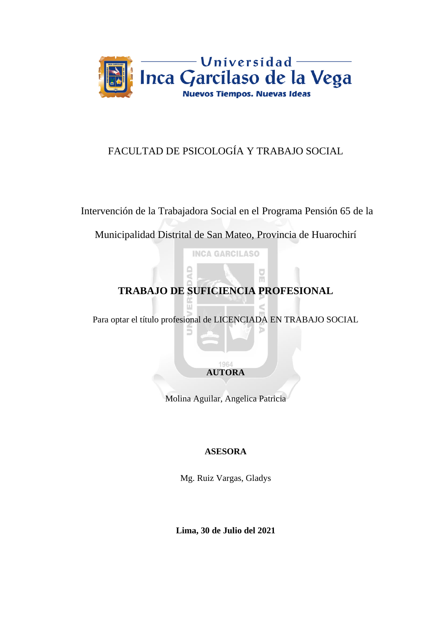

## FACULTAD DE PSICOLOGÍA Y TRABAJO SOCIAL

Intervención de la Trabajadora Social en el Programa Pensión 65 de la

Municipalidad Distrital de San Mateo, Provincia de Huarochirí

**INCA GARCILASO** 

# **TRABAJO DE SUFICIENCIA PROFESIONAL**

 $\overline{C}$ ň

Para optar el título profesional de LICENCIADA EN TRABAJO SOCIAL

1964 **AUTORA**

Molina Aguilar, Angelica Patricia

### **ASESORA**

Mg. Ruiz Vargas, Gladys

**Lima, 30 de Julio del 2021**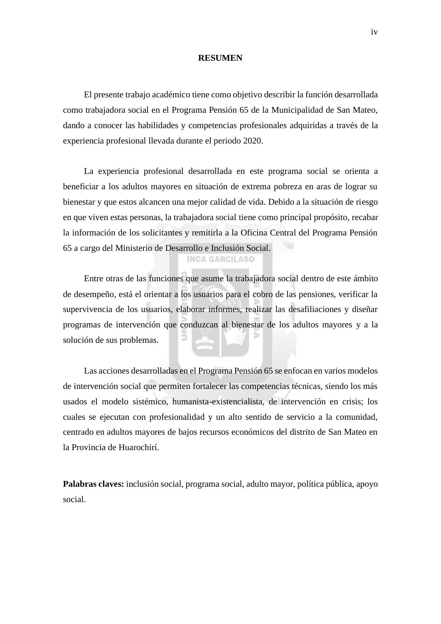#### **RESUMEN**

El presente trabajo académico tiene como objetivo describir la función desarrollada como trabajadora social en el Programa Pensión 65 de la Municipalidad de San Mateo, dando a conocer las habilidades y competencias profesionales adquiridas a través de la experiencia profesional llevada durante el periodo 2020.

La experiencia profesional desarrollada en este programa social se orienta a beneficiar a los adultos mayores en situación de extrema pobreza en aras de lograr su bienestar y que estos alcancen una mejor calidad de vida. Debido a la situación de riesgo en que viven estas personas, la trabajadora social tiene como principal propósito, recabar la información de los solicitantes y remitirla a la Oficina Central del Programa Pensión 65 a cargo del Ministerio de Desarrollo e Inclusión Social.

#### **INCA GARCILASO**

Entre otras de las funciones que asume la trabajadora social dentro de este ámbito de desempeño, está el orientar a los usuarios para el cobro de las pensiones, verificar la supervivencia de los usuarios, elaborar informes, realizar las desafiliaciones y diseñar programas de intervención que conduzcan al bienestar de los adultos mayores y a la solución de sus problemas.

Las acciones desarrolladas en el Programa Pensión 65 se enfocan en varios modelos de intervención social que permiten fortalecer las competencias técnicas, siendo los más usados el modelo sistémico, humanista-existencialista, de intervención en crisis; los cuales se ejecutan con profesionalidad y un alto sentido de servicio a la comunidad, centrado en adultos mayores de bajos recursos económicos del distrito de San Mateo en la Provincia de Huarochirí.

**Palabras claves:** inclusión social, programa social, adulto mayor, política pública, apoyo social.